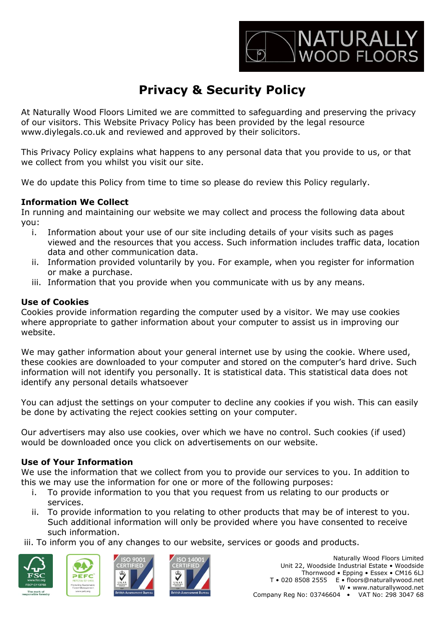

# **Privacy & Security Policy**

At Naturally Wood Floors Limited we are committed to safeguarding and preserving the privacy of our visitors. This Website Privacy Policy has been provided by the legal resource www.diylegals.co.uk and reviewed and approved by their solicitors.

This Privacy Policy explains what happens to any personal data that you provide to us, or that we collect from you whilst you visit our site.

We do update this Policy from time to time so please do review this Policy regularly.

## **Information We Collect**

In running and maintaining our website we may collect and process the following data about you:

- i. Information about your use of our site including details of your visits such as pages viewed and the resources that you access. Such information includes traffic data, location data and other communication data.
- ii. Information provided voluntarily by you. For example, when you register for information or make a purchase.
- iii. Information that you provide when you communicate with us by any means.

## **Use of Cookies**

Cookies provide information regarding the computer used by a visitor. We may use cookies where appropriate to gather information about your computer to assist us in improving our website.

We may gather information about your general internet use by using the cookie. Where used, these cookies are downloaded to your computer and stored on the computer's hard drive. Such information will not identify you personally. It is statistical data. This statistical data does not identify any personal details whatsoever

You can adjust the settings on your computer to decline any cookies if you wish. This can easily be done by activating the reject cookies setting on your computer.

Our advertisers may also use cookies, over which we have no control. Such cookies (if used) would be downloaded once you click on advertisements on our website.

## **Use of Your Information**

We use the information that we collect from you to provide our services to you. In addition to this we may use the information for one or more of the following purposes:

- i. To provide information to you that you request from us relating to our products or services.
- ii. To provide information to you relating to other products that may be of interest to you. Such additional information will only be provided where you have consented to receive such information.

iii. To inform you of any changes to our website, services or goods and products.